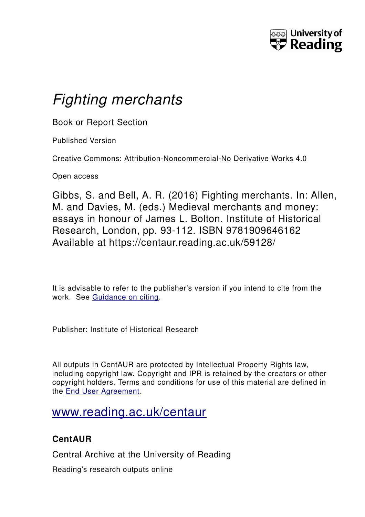

Book or Report Section

Published Version

Creative Commons: Attribution-Noncommercial-No Derivative Works 4.0

Open access

Gibbs, S. and Bell, A. R. (2016) Fighting merchants. In: Allen, M. and Davies, M. (eds.) Medieval merchants and money: essays in honour of James L. Bolton. Institute of Historical Research, London, pp. 93-112. ISBN 9781909646162 Available at https://centaur.reading.ac.uk/59128/

It is advisable to refer to the publisher's version if you intend to cite from the work. See [Guidance on citing.](http://centaur.reading.ac.uk/71187/10/CentAUR%20citing%20guide.pdf)

Publisher: Institute of Historical Research

All outputs in CentAUR are protected by Intellectual Property Rights law, including copyright law. Copyright and IPR is retained by the creators or other copyright holders. Terms and conditions for use of this material are defined in the **End User Agreement**.

## [www.reading.ac.uk/centaur](http://www.reading.ac.uk/centaur)

### **CentAUR**

Central Archive at the University of Reading

Reading's research outputs online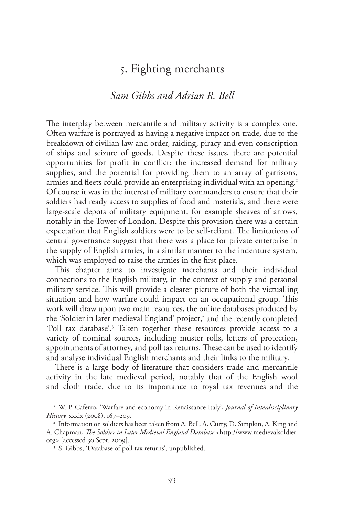#### *Sam Gibbs and Adrian R. Bell*

he interplay between mercantile and military activity is a complex one. Often warfare is portrayed as having a negative impact on trade, due to the breakdown of civilian law and order, raiding, piracy and even conscription of ships and seizure of goods. Despite these issues, there are potential opportunities for profit in conflict: the increased demand for military supplies, and the potential for providing them to an array of garrisons, armies and fleets could provide an enterprising individual with an opening.<sup>1</sup> Of course it was in the interest of military commanders to ensure that their soldiers had ready access to supplies of food and materials, and there were large-scale depots of military equipment, for example sheaves of arrows, notably in the Tower of London. Despite this provision there was a certain expectation that English soldiers were to be self-reliant. The limitations of central governance suggest that there was a place for private enterprise in the supply of English armies, in a similar manner to the indenture system, which was employed to raise the armies in the first place.

his chapter aims to investigate merchants and their individual connections to the English military, in the context of supply and personal military service. This will provide a clearer picture of both the victualling situation and how warfare could impact on an occupational group. This work will draw upon two main resources, the online databases produced by the 'Soldier in later medieval England' project,<sup>2</sup> and the recently completed 'Poll tax database'.<sup>3</sup> Taken together these resources provide access to a variety of nominal sources, including muster rolls, letters of protection, appointments of attorney, and poll tax returns. These can be used to identify and analyse individual English merchants and their links to the military.

here is a large body of literature that considers trade and mercantile activity in the late medieval period, notably that of the English wool and cloth trade, due to its importance to royal tax revenues and the

<sup>&</sup>lt;sup>1</sup> W. P. Caferro, 'Warfare and economy in Renaissance Italy', *Journal of Interdisciplinary History,* xxxix (2008), 167–209.

<sup>&</sup>lt;sup>2</sup> Information on soldiers has been taken from A. Bell, A. Curry, D. Simpkin, A. King and A. Chapman, *he Soldier in Later Medieval England Database* <http://www.medievalsoldier. org> [accessed 30 Sept. 2009].

<sup>3</sup> S. Gibbs, 'Database of poll tax returns', unpublished.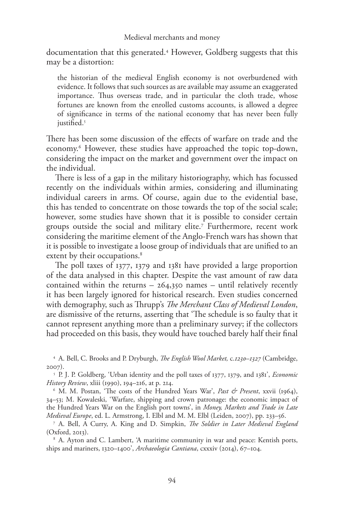documentation that this generated.<sup>4</sup> However, Goldberg suggests that this may be a distortion:

the historian of the medieval English economy is not overburdened with evidence. It follows that such sources as are available may assume an exaggerated importance. Thus overseas trade, and in particular the cloth trade, whose fortunes are known from the enrolled customs accounts, is allowed a degree of significance in terms of the national economy that has never been fully justified.<sup>5</sup>

here has been some discussion of the efects of warfare on trade and the economy.<sup>6</sup> However, these studies have approached the topic top‑down, considering the impact on the market and government over the impact on the individual.

here is less of a gap in the military historiography, which has focussed recently on the individuals within armies, considering and illuminating individual careers in arms. Of course, again due to the evidential base, this has tended to concentrate on those towards the top of the social scale; however, some studies have shown that it is possible to consider certain groups outside the social and military elite.<sup>7</sup> Furthermore, recent work considering the maritime element of the Anglo‑French wars has shown that it is possible to investigate a loose group of individuals that are unified to an extent by their occupations.<sup>8</sup>

he poll taxes of 1377, 1379 and 1381 have provided a large proportion of the data analysed in this chapter. Despite the vast amount of raw data contained within the returns  $-264,350$  names  $-$  until relatively recently it has been largely ignored for historical research. Even studies concerned with demography, such as Thrupp's *The Merchant Class of Medieval London*, are dismissive of the returns, asserting that 'The schedule is so faulty that it cannot represent anything more than a preliminary survey; if the collectors had proceeded on this basis, they would have touched barely half their final

4 A. Bell, C. Brooks and P. Dryburgh, *he English Wool Market,* c*.1230*–*1327* (Cambridge, 2007).

<sup>5</sup> P. J. P. Goldberg, 'Urban identity and the poll taxes of 1377, 1379, and 1381', *Economic History Review*, xliii (1990), 194–216, at p. 214.

<sup>6</sup> M. M. Postan, 'The costs of the Hundred Years War', *Past & Present*, xxvii (1964), 34–53; M. Kowaleski, 'Warfare, shipping and crown patronage: the economic impact of the Hundred Years War on the English port towns', in *Money, Markets and Trade in Late Medieval Europe*, ed. L. Armstrong, I. Elbl and M. M. Elbl (Leiden, 2007), pp. 233–56.

7 A. Bell, A Curry, A. King and D. Simpkin, *he Soldier in Later Medieval England* (Oxford, 2013).

<sup>8</sup>A. Ayton and C. Lambert, 'A maritime community in war and peace: Kentish ports, ships and mariners, 1320–1400', *Archaeologia Cantiana*, cxxxiv (2014), 67–104.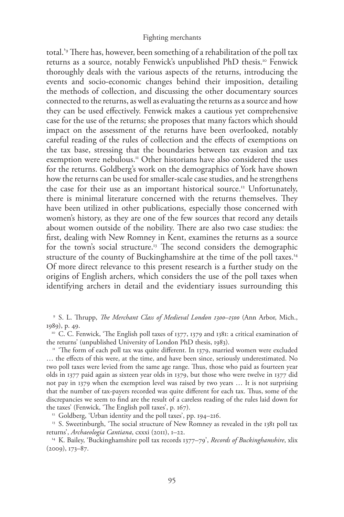total.'<sup>9</sup> here has, however, been something of a rehabilitation of the poll tax returns as a source, notably Fenwick's unpublished PhD thesis.<sup>10</sup> Fenwick thoroughly deals with the various aspects of the returns, introducing the events and socio‑economic changes behind their imposition, detailing the methods of collection, and discussing the other documentary sources connected to the returns, as well as evaluating the returns as a source and how they can be used efectively. Fenwick makes a cautious yet comprehensive case for the use of the returns; she proposes that many factors which should impact on the assessment of the returns have been overlooked, notably careful reading of the rules of collection and the efects of exemptions on the tax base, stressing that the boundaries between tax evasion and tax exemption were nebulous.<sup>11</sup> Other historians have also considered the uses for the returns. Goldberg's work on the demographics of York have shown how the returns can be used for smaller-scale case studies, and he strengthens the case for their use as an important historical source.<sup>12</sup> Unfortunately, there is minimal literature concerned with the returns themselves. They have been utilized in other publications, especially those concerned with women's history, as they are one of the few sources that record any details about women outside of the nobility. There are also two case studies: the first, dealing with New Romney in Kent, examines the returns as a source for the town's social structure.<sup>13</sup> The second considers the demographic structure of the county of Buckinghamshire at the time of the poll taxes.<sup>14</sup> Of more direct relevance to this present research is a further study on the origins of English archers, which considers the use of the poll taxes when identifying archers in detail and the evidentiary issues surrounding this

<sup>9</sup> S. L. Thrupp, *The Merchant Class of Medieval London 1300–1500* (Ann Arbor, Mich., 1989), p. 49.

<sup>10</sup> C. C. Fenwick, 'The English poll taxes of 1377, 1379 and 1381: a critical examination of the returns' (unpublished University of London PhD thesis, 1983).

<sup>11</sup> 'The form of each poll tax was quite different. In 1379, married women were excluded … the efects of this were, at the time, and have been since, seriously underestimated. No two poll taxes were levied from the same age range. Thus, those who paid as fourteen year olds in 1377 paid again as sixteen year olds in 1379, but those who were twelve in 1377 did not pay in 1379 when the exemption level was raised by two years … It is not surprising that the number of tax‑payers recorded was quite diferent for each tax. hus, some of the discrepancies we seem to find are the result of a careless reading of the rules laid down for the taxes' (Fenwick, 'The English poll taxes', p. 167).

<sup>12</sup> Goldberg, 'Urban identity and the poll taxes', pp. 194–216.

<sup>13</sup> S. Sweetinburgh, 'The social structure of New Romney as revealed in the 1381 poll tax returns', *Archaeologia Cantiana*, cxxxi (2011), 1–22.

<sup>14</sup> K. Bailey, 'Buckinghamshire poll tax records 1377–79', *Records of Buckinghamshire*, xlix (2009), 173–87.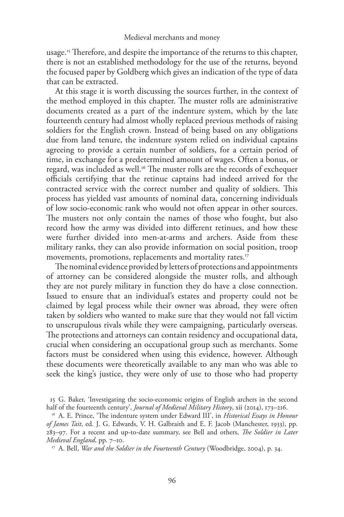usage.<sup>15</sup> herefore, and despite the importance of the returns to this chapter, there is not an established methodology for the use of the returns, beyond the focused paper by Goldberg which gives an indication of the type of data that can be extracted.

At this stage it is worth discussing the sources further, in the context of the method employed in this chapter. The muster rolls are administrative documents created as a part of the indenture system, which by the late fourteenth century had almost wholly replaced previous methods of raising soldiers for the English crown. Instead of being based on any obligations due from land tenure, the indenture system relied on individual captains agreeing to provide a certain number of soldiers, for a certain period of time, in exchange for a predetermined amount of wages. Often a bonus, or regard, was included as well.<sup>16</sup> The muster rolls are the records of exchequer officials certifying that the retinue captains had indeed arrived for the contracted service with the correct number and quality of soldiers. This process has yielded vast amounts of nominal data, concerning individuals of low socio‑economic rank who would not often appear in other sources. he musters not only contain the names of those who fought, but also record how the army was divided into diferent retinues, and how these were further divided into men‑at‑arms and archers. Aside from these military ranks, they can also provide information on social position, troop movements, promotions, replacements and mortality rates.<sup>17</sup>

he nominal evidence provided by letters of protections and appointments of attorney can be considered alongside the muster rolls, and although they are not purely military in function they do have a close connection. Issued to ensure that an individual's estates and property could not be claimed by legal process while their owner was abroad, they were often taken by soldiers who wanted to make sure that they would not fall victim to unscrupulous rivals while they were campaigning, particularly overseas. he protections and attorneys can contain residency and occupational data, crucial when considering an occupational group such as merchants. Some factors must be considered when using this evidence, however. Although these documents were theoretically available to any man who was able to seek the king's justice, they were only of use to those who had property

17 A. Bell, *War and the Soldier in the Fourteenth Century* (Woodbridge, 2004), p. 34.

 <sup>15</sup> G. Baker, 'Investigating the socio‑economic origins of English archers in the second half of the fourteenth century', *Journal of Medieval Military History*, xii (2014), 173-216.

<sup>&</sup>lt;sup>16</sup> A. E. Prince, 'The indenture system under Edward III', in *Historical Essays in Honour of James Tait*, ed. J. G. Edwards, V. H. Galbraith and E. F. Jacob (Manchester, 1933), pp. 283–97. For a recent and up‑to‑date summary, see Bell and others, *he Soldier in Later Medieval England*, pp. 7–10.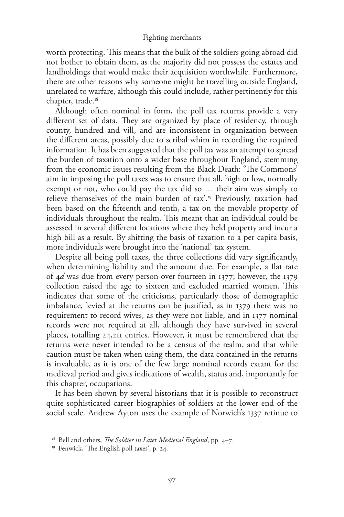worth protecting. This means that the bulk of the soldiers going abroad did not bother to obtain them, as the majority did not possess the estates and landholdings that would make their acquisition worthwhile. Furthermore, there are other reasons why someone might be travelling outside England, unrelated to warfare, although this could include, rather pertinently for this chapter, trade.<sup>18</sup>

Although often nominal in form, the poll tax returns provide a very different set of data. They are organized by place of residency, through county, hundred and vill, and are inconsistent in organization between the diferent areas, possibly due to scribal whim in recording the required information. It has been suggested that the poll tax was an attempt to spread the burden of taxation onto a wider base throughout England, stemming from the economic issues resulting from the Black Death: 'The Commons' aim in imposing the poll taxes was to ensure that all, high or low, normally exempt or not, who could pay the tax did so … their aim was simply to relieve themselves of the main burden of tax'.<sup>19</sup> Previously, taxation had been based on the ifteenth and tenth, a tax on the movable property of individuals throughout the realm. This meant that an individual could be assessed in several diferent locations where they held property and incur a high bill as a result. By shifting the basis of taxation to a per capita basis, more individuals were brought into the 'national' tax system.

Despite all being poll taxes, the three collections did vary significantly, when determining liability and the amount due. For example, a flat rate of 4*d* was due from every person over fourteen in 1377; however, the 1379 collection raised the age to sixteen and excluded married women. This indicates that some of the criticisms, particularly those of demographic imbalance, levied at the returns can be justified, as in 1379 there was no requirement to record wives, as they were not liable, and in 1377 nominal records were not required at all, although they have survived in several places, totalling 24,211 entries. However, it must be remembered that the returns were never intended to be a census of the realm, and that while caution must be taken when using them, the data contained in the returns is invaluable, as it is one of the few large nominal records extant for the medieval period and gives indications of wealth, status and, importantly for this chapter, occupations.

It has been shown by several historians that it is possible to reconstruct quite sophisticated career biographies of soldiers at the lower end of the social scale. Andrew Ayton uses the example of Norwich's 1337 retinue to

<sup>&</sup>lt;sup>18</sup> Bell and others, *The Soldier in Later Medieval England*, pp. 4–7.

<sup>&</sup>lt;sup>19</sup> Fenwick, 'The English poll taxes', p. 24.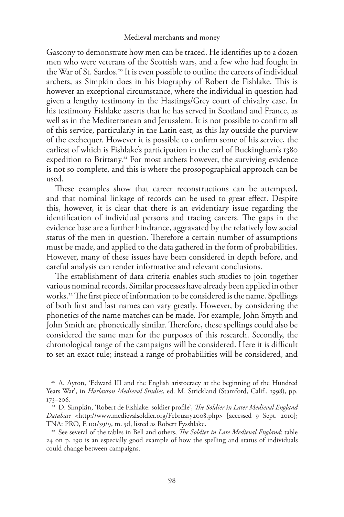Gascony to demonstrate how men can be traced. He identifies up to a dozen men who were veterans of the Scottish wars, and a few who had fought in the War of St. Sardos.<sup>20</sup> It is even possible to outline the careers of individual archers, as Simpkin does in his biography of Robert de Fishlake. This is however an exceptional circumstance, where the individual in question had given a lengthy testimony in the Hastings/Grey court of chivalry case. In his testimony Fishlake asserts that he has served in Scotland and France, as well as in the Mediterranean and Jerusalem. It is not possible to confirm all of this service, particularly in the Latin east, as this lay outside the purview of the exchequer. However it is possible to conirm some of his service, the earliest of which is Fishlake's participation in the earl of Buckingham's 1380 expedition to Brittany.<sup>21</sup> For most archers however, the surviving evidence is not so complete, and this is where the prosopographical approach can be used.

These examples show that career reconstructions can be attempted, and that nominal linkage of records can be used to great efect. Despite this, however, it is clear that there is an evidentiary issue regarding the identification of individual persons and tracing careers. The gaps in the evidence base are a further hindrance, aggravated by the relatively low social status of the men in question. Therefore a certain number of assumptions must be made, and applied to the data gathered in the form of probabilities. However, many of these issues have been considered in depth before, and careful analysis can render informative and relevant conclusions.

he establishment of data criteria enables such studies to join together various nominal records. Similar processes have already been applied in other works.<sup>22</sup> The first piece of information to be considered is the name. Spellings of both irst and last names can vary greatly. However, by considering the phonetics of the name matches can be made. For example, John Smyth and John Smith are phonetically similar. Therefore, these spellings could also be considered the same man for the purposes of this research. Secondly, the chronological range of the campaigns will be considered. Here it is difficult to set an exact rule; instead a range of probabilities will be considered, and

<sup>20</sup> A. Ayton, 'Edward III and the English aristocracy at the beginning of the Hundred Years War', in *Harlaxton Medieval Studies*, ed. M. Strickland (Stamford, Calif., 1998), pp. 173–206.

<sup>&</sup>lt;sup>21</sup> D. Simpkin, 'Robert de Fishlake: soldier profile', *The Soldier in Later Medieval England Database* <http://www.medievalsoldier.org/February2008.php> [accessed 9 Sept. 2010]; TNA: PRO, E 101/39/9, m. 5d, listed as Robert Fysshlake.

<sup>&</sup>lt;sup>22</sup> See several of the tables in Bell and others, *The Soldier in Late Medieval England*: table 24 on p. 190 is an especially good example of how the spelling and status of individuals could change between campaigns.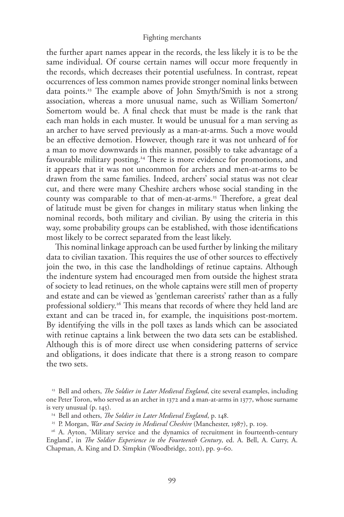the further apart names appear in the records, the less likely it is to be the same individual. Of course certain names will occur more frequently in the records, which decreases their potential usefulness. In contrast, repeat occurrences of less common names provide stronger nominal links between data points.<sup>23</sup> The example above of John Smyth/Smith is not a strong association, whereas a more unusual name, such as William Somerton/ Somertom would be. A final check that must be made is the rank that each man holds in each muster. It would be unusual for a man serving as an archer to have served previously as a man‑at‑arms. Such a move would be an efective demotion. However, though rare it was not unheard of for a man to move downwards in this manner, possibly to take advantage of a favourable military posting.<sup>24</sup> There is more evidence for promotions, and it appears that it was not uncommon for archers and men-at-arms to be drawn from the same families. Indeed, archers' social status was not clear cut, and there were many Cheshire archers whose social standing in the county was comparable to that of men-at-arms.<sup>25</sup> Therefore, a great deal of latitude must be given for changes in military status when linking the nominal records, both military and civilian. By using the criteria in this way, some probability groups can be established, with those identifications most likely to be correct separated from the least likely.

his nominal linkage approach can be used further by linking the military data to civilian taxation. This requires the use of other sources to effectively join the two, in this case the landholdings of retinue captains. Although the indenture system had encouraged men from outside the highest strata of society to lead retinues, on the whole captains were still men of property and estate and can be viewed as 'gentleman careerists' rather than as a fully professional soldiery.<sup>26</sup> This means that records of where they held land are extant and can be traced in, for example, the inquisitions post-mortem. By identifying the vills in the poll taxes as lands which can be associated with retinue captains a link between the two data sets can be established. Although this is of more direct use when considering patterns of service and obligations, it does indicate that there is a strong reason to compare the two sets.

<sup>&</sup>lt;sup>23</sup> Bell and others, *The Soldier in Later Medieval England*, cite several examples, including one Peter Toron, who served as an archer in 1372 and a man‑at‑arms in 1377, whose surname is very unusual (p. 145).

<sup>&</sup>lt;sup>24</sup> Bell and others, *The Soldier in Later Medieval England*, p. 148.

<sup>25</sup> P. Morgan, *War and Society in Medieval Cheshire* (Manchester, 1987), p. 109.

<sup>&</sup>lt;sup>26</sup> A. Ayton, 'Military service and the dynamics of recruitment in fourteenth-century England', in *he Soldier Experience in the Fourteenth Century*, ed. A. Bell, A. Curry, A. Chapman, A. King and D. Simpkin (Woodbridge, 2011), pp. 9–60.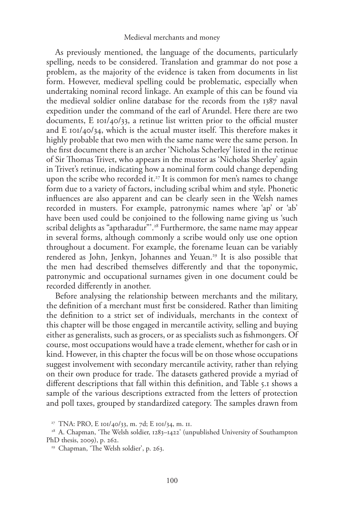As previously mentioned, the language of the documents, particularly spelling, needs to be considered. Translation and grammar do not pose a problem, as the majority of the evidence is taken from documents in list form. However, medieval spelling could be problematic, especially when undertaking nominal record linkage. An example of this can be found via the medieval soldier online database for the records from the 1387 naval expedition under the command of the earl of Arundel. Here there are two documents,  $E \text{ 101/40/33}$ , a retinue list written prior to the official muster and E 101/40/34, which is the actual muster itself. This therefore makes it highly probable that two men with the same name were the same person. In the first document there is an archer 'Nicholas Scherley' listed in the retinue of Sir homas Trivet, who appears in the muster as 'Nicholas Sherley' again in Trivet's retinue, indicating how a nominal form could change depending upon the scribe who recorded it.<sup>27</sup> It is common for men's names to change form due to a variety of factors, including scribal whim and style. Phonetic influences are also apparent and can be clearly seen in the Welsh names recorded in musters. For example, patronymic names where 'ap' or 'ab' have been used could be conjoined to the following name giving us 'such scribal delights as "aptharadur"'.<sup>28</sup> Furthermore, the same name may appear in several forms, although commonly a scribe would only use one option throughout a document. For example, the forename Ieuan can be variably rendered as John, Jenkyn, Johannes and Yeuan.<sup>29</sup> It is also possible that the men had described themselves diferently and that the toponymic, patronymic and occupational surnames given in one document could be recorded diferently in another.

Before analysing the relationship between merchants and the military, the definition of a merchant must first be considered. Rather than limiting the definition to a strict set of individuals, merchants in the context of this chapter will be those engaged in mercantile activity, selling and buying either as generalists, such as grocers, or as specialists such as fishmongers. Of course, most occupations would have a trade element, whether for cash or in kind. However, in this chapter the focus will be on those whose occupations suggest involvement with secondary mercantile activity, rather than relying on their own produce for trade. The datasets gathered provide a myriad of different descriptions that fall within this definition, and Table 5.1 shows a sample of the various descriptions extracted from the letters of protection and poll taxes, grouped by standardized category. The samples drawn from

<sup>27</sup> TNA: PRO, E 101/40/33, m. 7d; E 101/34, m. 11.

<sup>&</sup>lt;sup>28</sup> A. Chapman, 'The Welsh soldier, 1283–1422' (unpublished University of Southampton PhD thesis, 2009), p. 262.

<sup>&</sup>lt;sup>29</sup> Chapman, 'The Welsh soldier', p. 263.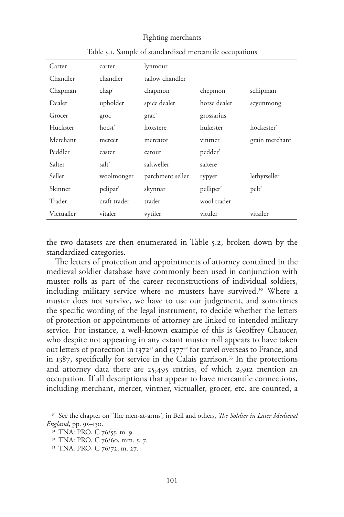| Carter     | carter                 | lynmour          |              |                        |
|------------|------------------------|------------------|--------------|------------------------|
| Chandler   | chandler               | tallow chandler  |              |                        |
| Chapman    | chap'                  | chapmon          | chepmon      | schipman               |
| Dealer     | upholder               | spice dealer     | horse dealer | scyunmong              |
| Grocer     | $\text{groc}^{\prime}$ | grac'            | grossarius   |                        |
| Huckster   | hocst'                 | hoxstere         | hukester     | hockester <sup>2</sup> |
| Merchant   | mercer                 | mercator         | vintner      | grain merchant         |
| Peddler    | caster                 | catour           | pedder'      |                        |
| Salter     | salt <sup>'</sup>      | saltweller       | saltere      |                        |
| Seller     | woolmonger             | parchment seller | rypyer       | lethyrseller           |
| Skinner    | pelipar'               | skynnar          | pelliper'    | pelt <sup>'</sup>      |
| Trader     | craft trader           | trader           | wool trader  |                        |
| Victualler | vitaler                | vytiler          | vituler      | vitailer               |

Table 5.1. Sample of standardized mercantile occupations

the two datasets are then enumerated in Table 5.2, broken down by the standardized categories.

The letters of protection and appointments of attorney contained in the medieval soldier database have commonly been used in conjunction with muster rolls as part of the career reconstructions of individual soldiers, including military service where no musters have survived.<sup>30</sup> Where a muster does not survive, we have to use our judgement, and sometimes the specific wording of the legal instrument, to decide whether the letters of protection or appointments of attorney are linked to intended military service. For instance, a well-known example of this is Geoffrey Chaucer, who despite not appearing in any extant muster roll appears to have taken out letters of protection in 1372<sup>31</sup> and 1377<sup>32</sup> for travel overseas to France, and in  $1387$ , specifically for service in the Calais garrison.<sup>33</sup> In the protections and attorney data there are 25,495 entries, of which 2,912 mention an occupation. If all descriptions that appear to have mercantile connections, including merchant, mercer, vintner, victualler, grocer, etc. are counted, a

<sup>&</sup>lt;sup>30</sup> See the chapter on 'The men-at-arms', in Bell and others, *The Soldier in Later Medieval England*, pp. 95–130.

<sup>&</sup>lt;sup>31</sup> TNA: PRO, C 76/55, m. 9.

<sup>32</sup> TNA: PRO, C 76/60, mm. 5, 7.

<sup>33</sup> TNA: PRO, C 76/72, m. 27.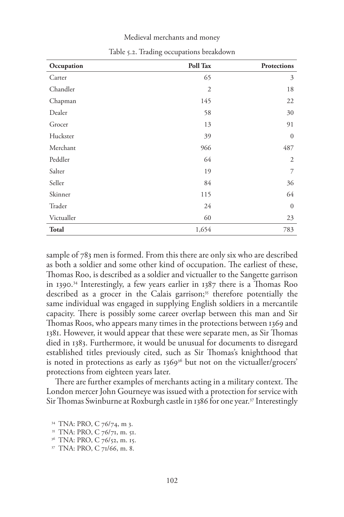| Occupation   | Poll Tax       | Protections    |
|--------------|----------------|----------------|
| Carter       | 65             | 3              |
| Chandler     | $\overline{2}$ | 18             |
| Chapman      | 145            | 22             |
| Dealer       | 58             | 30             |
| Grocer       | 13             | 91             |
| Huckster     | 39             | $\overline{0}$ |
| Merchant     | 966            | 487            |
| Peddler      | 64             | $\overline{2}$ |
| Salter       | 19             | 7              |
| Seller       | 84             | 36             |
| Skinner      | 115            | 64             |
| Trader       | 24             | $\overline{0}$ |
| Victualler   | 60             | 23             |
| <b>Total</b> | 1,654          | 783            |

#### Table 5.2. Trading occupations breakdown

sample of 783 men is formed. From this there are only six who are described as both a soldier and some other kind of occupation. The earliest of these, homas Roo, is described as a soldier and victualler to the Sangette garrison in 1390.<sup>34</sup> Interestingly, a few years earlier in 1387 there is a Thomas Roo described as a grocer in the Calais garrison;<sup>35</sup> therefore potentially the same individual was engaged in supplying English soldiers in a mercantile capacity. There is possibly some career overlap between this man and Sir homas Roos, who appears many times in the protections between 1369 and 1381. However, it would appear that these were separate men, as Sir homas died in 1383. Furthermore, it would be unusual for documents to disregard established titles previously cited, such as Sir Thomas's knighthood that is noted in protections as early as 1369<sup>36</sup> but not on the victualler/grocers' protections from eighteen years later.

There are further examples of merchants acting in a military context. The London mercer John Gourneye was issued with a protection for service with Sir Thomas Swinburne at Roxburgh castle in 1386 for one year.<sup>37</sup> Interestingly

<sup>34</sup> TNA: PRO, C 76/74, m 3.

<sup>35</sup> TNA: PRO, C 76/71, m. 51.

<sup>36</sup> TNA: PRO, C 76/52, m. 15.

<sup>37</sup> TNA: PRO, C 71/66, m. 8.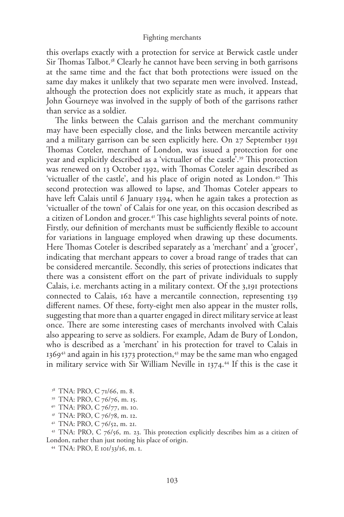this overlaps exactly with a protection for service at Berwick castle under Sir Thomas Talbot.<sup>38</sup> Clearly he cannot have been serving in both garrisons at the same time and the fact that both protections were issued on the same day makes it unlikely that two separate men were involved. Instead, although the protection does not explicitly state as much, it appears that John Gourneye was involved in the supply of both of the garrisons rather than service as a soldier.

The links between the Calais garrison and the merchant community may have been especially close, and the links between mercantile activity and a military garrison can be seen explicitly here. On 27 September 1391 homas Coteler, merchant of London, was issued a protection for one year and explicitly described as a 'victualler of the castle'.<sup>39</sup> This protection was renewed on 13 October 1392, with Thomas Coteler again described as 'victualler of the castle', and his place of origin noted as London.<sup>40</sup> This second protection was allowed to lapse, and Thomas Coteler appears to have left Calais until 6 January 1394, when he again takes a protection as 'victualler of the town' of Calais for one year, on this occasion described as a citizen of London and grocer.<sup>41</sup> This case highlights several points of note. Firstly, our definition of merchants must be sufficiently flexible to account for variations in language employed when drawing up these documents. Here Thomas Coteler is described separately as a 'merchant' and a 'grocer', indicating that merchant appears to cover a broad range of trades that can be considered mercantile. Secondly, this series of protections indicates that there was a consistent efort on the part of private individuals to supply Calais, i.e. merchants acting in a military context. Of the 3,191 protections connected to Calais, 162 have a mercantile connection, representing 139 different names. Of these, forty-eight men also appear in the muster rolls, suggesting that more than a quarter engaged in direct military service at least once. There are some interesting cases of merchants involved with Calais also appearing to serve as soldiers. For example, Adam de Bury of London, who is described as a 'merchant' in his protection for travel to Calais in 1369<sup>42</sup> and again in his 1373 protection,<sup>43</sup> may be the same man who engaged in military service with Sir William Neville in 1374.<sup>44</sup> If this is the case it

- <sup>38</sup> TNA: PRO, C 71/66, m. 8.
- <sup>39</sup> TNA: PRO, C 76/76, m. 15.
- <sup>40</sup> TNA: PRO, C 76/77, m. 10.
- <sup>41</sup> TNA: PRO, C 76/78, m. 12.
- <sup>42</sup> TNA: PRO, C 76/52, m. 21.

 $43$  TNA: PRO, C  $76/56$ , m. 23. This protection explicitly describes him as a citizen of London, rather than just noting his place of origin.

44 TNA: PRO, E 101/33/16, m. 1.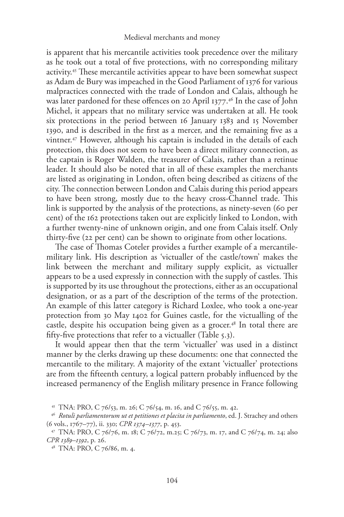is apparent that his mercantile activities took precedence over the military as he took out a total of five protections, with no corresponding military activity.<sup>45</sup> These mercantile activities appear to have been somewhat suspect as Adam de Bury was impeached in the Good Parliament of 1376 for various malpractices connected with the trade of London and Calais, although he was later pardoned for these offences on 20 April 1377.<sup>46</sup> In the case of John Michel, it appears that no military service was undertaken at all. He took six protections in the period between 16 January 1383 and 15 November 1390, and is described in the first as a mercer, and the remaining five as a vintner.<sup>47</sup> However, although his captain is included in the details of each protection, this does not seem to have been a direct military connection, as the captain is Roger Walden, the treasurer of Calais, rather than a retinue leader. It should also be noted that in all of these examples the merchants are listed as originating in London, often being described as citizens of the city. he connection between London and Calais during this period appears to have been strong, mostly due to the heavy cross-Channel trade. This link is supported by the analysis of the protections, as ninety-seven (60 per cent) of the 162 protections taken out are explicitly linked to London, with a further twenty‑nine of unknown origin, and one from Calais itself. Only thirty-five (22 per cent) can be shown to originate from other locations.

The case of Thomas Coteler provides a further example of a mercantilemilitary link. His description as 'victualler of the castle/town' makes the link between the merchant and military supply explicit, as victualler appears to be a used expressly in connection with the supply of castles. This is supported by its use throughout the protections, either as an occupational designation, or as a part of the description of the terms of the protection. An example of this latter category is Richard Loxlee, who took a one-year protection from 30 May 1402 for Guines castle, for the victualling of the castle, despite his occupation being given as a grocer.<sup>48</sup> In total there are fifty-five protections that refer to a victualler (Table  $5.3$ ).

It would appear then that the term 'victualler' was used in a distinct manner by the clerks drawing up these documents: one that connected the mercantile to the military. A majority of the extant 'victualler' protections are from the fifteenth century, a logical pattern probably influenced by the increased permanency of the English military presence in France following

<sup>45</sup> TNA: PRO, C 76/53, m. 26; C 76/54, m. 16, and C 76/55, m. 42.

<sup>46</sup> *Rotuli parliamentorum ut et petitiones et placita in parliamento*, ed. J. Strachey and others (6 vols., 1767–77), ii. 330; *CPR 1374–1377*, p. 453.

<sup>&</sup>lt;sup>47</sup> TNA: PRO, C 76/76, m. 18; C 76/72, m.25; C 76/73, m. 17, and C 76/74, m. 24; also *CPR 1389–1392*, p. 26.

<sup>48</sup> TNA: PRO, C 76/86, m. 4.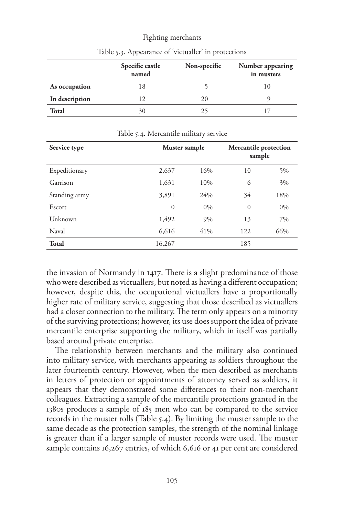|                | Specific castle<br>named | Non-specific | Number appearing<br>in musters |  |
|----------------|--------------------------|--------------|--------------------------------|--|
| As occupation  | 18                       |              | 10                             |  |
| In description | 12                       | 20           |                                |  |
| <b>Total</b>   | 30                       | 25           |                                |  |

#### Table 5.3. Appearance of 'victualler' in protections

| Service type  | Muster sample |       | <b>Mercantile protection</b><br>sample |     |
|---------------|---------------|-------|----------------------------------------|-----|
| Expeditionary | 2,637         | 16%   | 10                                     | 5%  |
| Garrison      | 1,631         | 10%   | 6                                      | 3%  |
| Standing army | 3,891         | 24%   | 34                                     | 18% |
| Escort        | $\mathbf{0}$  | $0\%$ | $\overline{0}$                         | 0%  |
| Unknown       | 1,492         | 9%    | 13                                     | 7%  |
| Naval         | 6,616         | 41%   | 122                                    | 66% |
| <b>Total</b>  | 16,267        |       | 185                                    |     |

#### Table 5.4. Mercantile military service

the invasion of Normandy in 1417. There is a slight predominance of those who were described as victuallers, but noted as having a diferent occupation; however, despite this, the occupational victuallers have a proportionally higher rate of military service, suggesting that those described as victuallers had a closer connection to the military. The term only appears on a minority of the surviving protections; however, its use does support the idea of private mercantile enterprise supporting the military, which in itself was partially based around private enterprise.

he relationship between merchants and the military also continued into military service, with merchants appearing as soldiers throughout the later fourteenth century. However, when the men described as merchants in letters of protection or appointments of attorney served as soldiers, it appears that they demonstrated some differences to their non-merchant colleagues. Extracting a sample of the mercantile protections granted in the 1380s produces a sample of 185 men who can be compared to the service records in the muster rolls (Table 5.4). By limiting the muster sample to the same decade as the protection samples, the strength of the nominal linkage is greater than if a larger sample of muster records were used. The muster sample contains 16,267 entries, of which 6,616 or 41 per cent are considered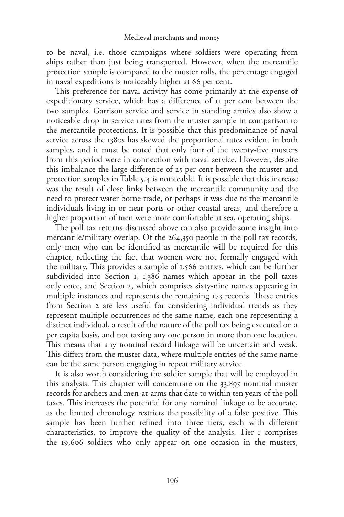to be naval, i.e. those campaigns where soldiers were operating from ships rather than just being transported. However, when the mercantile protection sample is compared to the muster rolls, the percentage engaged in naval expeditions is noticeably higher at 66 per cent.

his preference for naval activity has come primarily at the expense of expeditionary service, which has a diference of 11 per cent between the two samples. Garrison service and service in standing armies also show a noticeable drop in service rates from the muster sample in comparison to the mercantile protections. It is possible that this predominance of naval service across the 1380s has skewed the proportional rates evident in both samples, and it must be noted that only four of the twenty-five musters from this period were in connection with naval service. However, despite this imbalance the large diference of 25 per cent between the muster and protection samples in Table 5.4 is noticeable. It is possible that this increase was the result of close links between the mercantile community and the need to protect water borne trade, or perhaps it was due to the mercantile individuals living in or near ports or other coastal areas, and therefore a higher proportion of men were more comfortable at sea, operating ships.

he poll tax returns discussed above can also provide some insight into mercantile/military overlap. Of the 264,350 people in the poll tax records, only men who can be identiied as mercantile will be required for this chapter, relecting the fact that women were not formally engaged with the military. This provides a sample of 1,566 entries, which can be further subdivided into Section 1, 1,386 names which appear in the poll taxes only once, and Section 2, which comprises sixty-nine names appearing in multiple instances and represents the remaining 173 records. These entries from Section 2 are less useful for considering individual trends as they represent multiple occurrences of the same name, each one representing a distinct individual, a result of the nature of the poll tax being executed on a per capita basis, and not taxing any one person in more than one location. his means that any nominal record linkage will be uncertain and weak. his difers from the muster data, where multiple entries of the same name can be the same person engaging in repeat military service.

It is also worth considering the soldier sample that will be employed in this analysis. This chapter will concentrate on the 33,895 nominal muster records for archers and men‑at‑arms that date to within ten years of the poll taxes. This increases the potential for any nominal linkage to be accurate, as the limited chronology restricts the possibility of a false positive. This sample has been further refined into three tiers, each with different characteristics, to improve the quality of the analysis. Tier 1 comprises the 19,606 soldiers who only appear on one occasion in the musters,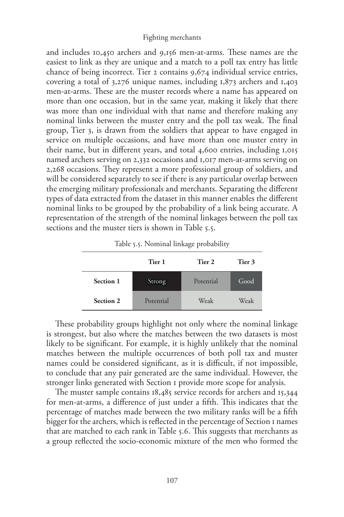and includes 10,450 archers and 9,156 men-at-arms. These names are the easiest to link as they are unique and a match to a poll tax entry has little chance of being incorrect. Tier 2 contains 9,674 individual service entries, covering a total of 3,276 unique names, including 1,873 archers and 1,403 men-at-arms. These are the muster records where a name has appeared on more than one occasion, but in the same year, making it likely that there was more than one individual with that name and therefore making any nominal links between the muster entry and the poll tax weak. The final group, Tier 3, is drawn from the soldiers that appear to have engaged in service on multiple occasions, and have more than one muster entry in their name, but in diferent years, and total 4,600 entries, including 1,015 named archers serving on 2,332 occasions and 1,017 men-at-arms serving on 2,268 occasions. They represent a more professional group of soldiers, and will be considered separately to see if there is any particular overlap between the emerging military professionals and merchants. Separating the diferent types of data extracted from the dataset in this manner enables the diferent nominal links to be grouped by the probability of a link being accurate. A representation of the strength of the nominal linkages between the poll tax sections and the muster tiers is shown in Table 5.5.

|           | Tier 1    | Tier 2      | Tier 3 |
|-----------|-----------|-------------|--------|
| Section 1 | Strong    | Potential   | Good   |
| Section 2 | Potential | <b>Weak</b> | Weak   |

Table 5.5. Nominal linkage probability

hese probability groups highlight not only where the nominal linkage is strongest, but also where the matches between the two datasets is most likely to be significant. For example, it is highly unlikely that the nominal matches between the multiple occurrences of both poll tax and muster names could be considered significant, as it is difficult, if not impossible, to conclude that any pair generated are the same individual. However, the stronger links generated with Section 1 provide more scope for analysis.

he muster sample contains 18,485 service records for archers and 15,344 for men-at-arms, a difference of just under a fifth. This indicates that the percentage of matches made between the two military ranks will be a fifth bigger for the archers, which is relected in the percentage of Section 1 names that are matched to each rank in Table 5.6. This suggests that merchants as a group reflected the socio-economic mixture of the men who formed the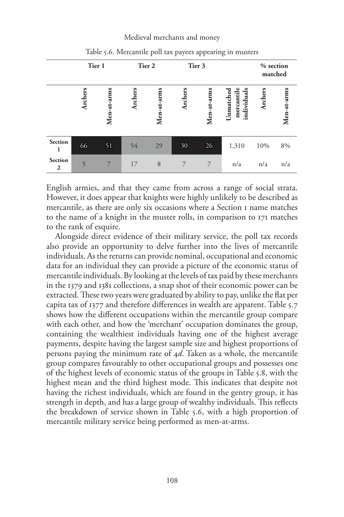|                         | Tier 1  |             |         | Tier 2      |         | Tier 3      |                                       | % section<br>matched |             |
|-------------------------|---------|-------------|---------|-------------|---------|-------------|---------------------------------------|----------------------|-------------|
|                         | Archers | Men-at-arms | Archers | Men-at-arms | Archers | Men-at-arms | mercantile<br>individuals<br>Unmatche | Archers              | Men-at-arms |
| <b>Section</b>          | 66      | 51          | 54      | 29          | 30      | 26          | 1,310                                 | 10%                  | 8%          |
| Section<br>$\mathbf{2}$ | 5       | 7           | 17      | 8           |         | 7           | n/a                                   | n/a                  | n/a         |

Table 5.6. Mercantile poll tax payees appearing in musters

English armies, and that they came from across a range of social strata. However, it does appear that knights were highly unlikely to be described as mercantile, as there are only six occasions where a Section 1 name matches to the name of a knight in the muster rolls, in comparison to 171 matches to the rank of esquire.

Alongside direct evidence of their military service, the poll tax records also provide an opportunity to delve further into the lives of mercantile individuals. As the returns can provide nominal, occupational and economic data for an individual they can provide a picture of the economic status of mercantile individuals. By looking at the levels of tax paid by these merchants in the 1379 and 1381 collections, a snap shot of their economic power can be extracted. These two years were graduated by ability to pay, unlike the flat per capita tax of 1377 and therefore diferences in wealth are apparent. Table 5.7 shows how the diferent occupations within the mercantile group compare with each other, and how the 'merchant' occupation dominates the group, containing the wealthiest individuals having one of the highest average payments, despite having the largest sample size and highest proportions of persons paying the minimum rate of 4*d*. Taken as a whole, the mercantile group compares favourably to other occupational groups and possesses one of the highest levels of economic status of the groups in Table 5.8, with the highest mean and the third highest mode. This indicates that despite not having the richest individuals, which are found in the gentry group, it has strength in depth, and has a large group of wealthy individuals. This reflects the breakdown of service shown in Table 5.6, with a high proportion of mercantile military service being performed as men-at-arms.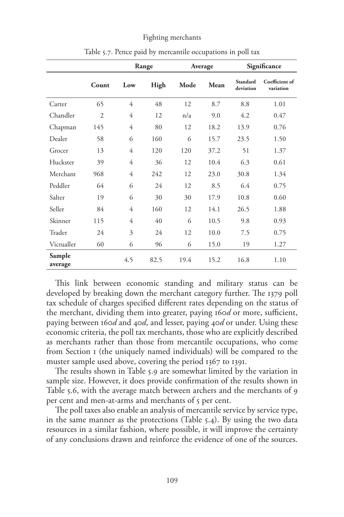|                   |                |     | Range |      | Average | Significance                 |                             |
|-------------------|----------------|-----|-------|------|---------|------------------------------|-----------------------------|
|                   | Count          | Low | High  | Mode | Mean    | <b>Standard</b><br>deviation | Coefficient of<br>variation |
| Carter            | 65             | 4   | 48    | 12   | 8.7     | 8.8                          | 1.01                        |
| Chandler          | $\overline{2}$ | 4   | 12    | n/a  | 9.0     | 4.2                          | 0.47                        |
| Chapman           | 145            | 4   | 80    | 12   | 18.2    | 13.9                         | 0.76                        |
| Dealer            | 58             | 6   | 160   | 6    | 15.7    | 23.5                         | 1.50                        |
| Grocer            | 13             | 4   | 120   | 120  | 37.2    | 51                           | 1.37                        |
| Huckster          | 39             | 4   | 36    | 12   | 10.4    | 6.3                          | 0.61                        |
| Merchant          | 968            | 4   | 242   | 12   | 23.0    | 30.8                         | 1.34                        |
| Peddler           | 64             | 6   | 24    | 12   | 8.5     | 6.4                          | 0.75                        |
| Salter            | 19             | 6   | 30    | 30   | 17.9    | 10.8                         | 0.60                        |
| Seller            | 84             | 4   | 160   | 12   | 14.1    | 26.5                         | 1.88                        |
| Skinner           | 115            | 4   | 40    | 6    | 10.5    | 9.8                          | 0.93                        |
| Trader            | 24             | 3   | 24    | 12   | 10.0    | 7.5                          | 0.75                        |
| Victualler        | 60             | 6   | 96    | 6    | 15.0    | 19                           | 1.27                        |
| Sample<br>average |                | 4.5 | 82.5  | 19.4 | 15.2    | 16.8                         | 1.10                        |

Table 5.7. Pence paid by mercantile occupations in poll tax

his link between economic standing and military status can be developed by breaking down the merchant category further. The 1379 poll tax schedule of charges speciied diferent rates depending on the status of the merchant, dividing them into greater, paying 160*d* or more, sufficient, paying between 160*d* and 40*d*, and lesser, paying 40*d* or under. Using these economic criteria, the poll tax merchants, those who are explicitly described as merchants rather than those from mercantile occupations, who come from Section 1 (the uniquely named individuals) will be compared to the muster sample used above, covering the period 1367 to 1391.

he results shown in Table 5.9 are somewhat limited by the variation in sample size. However, it does provide confirmation of the results shown in Table 5.6, with the average match between archers and the merchants of 9 per cent and men‑at‑arms and merchants of 5 per cent.

he poll taxes also enable an analysis of mercantile service by service type, in the same manner as the protections (Table 5.4). By using the two data resources in a similar fashion, where possible, it will improve the certainty of any conclusions drawn and reinforce the evidence of one of the sources.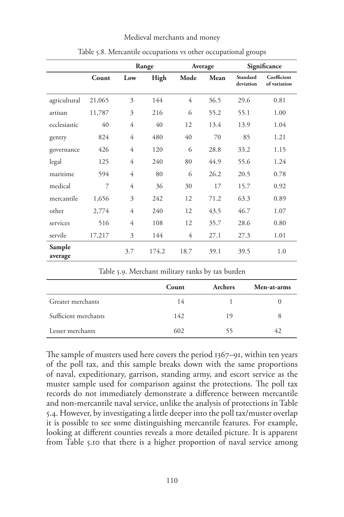|                   |        | Significance<br>Range<br>Average |       |      |      |                              |                             |
|-------------------|--------|----------------------------------|-------|------|------|------------------------------|-----------------------------|
|                   | Count  | Low                              | High  | Mode | Mean | <b>Standard</b><br>deviation | Coefficient<br>of variation |
| agricultural      | 21,065 | 3                                | 144   | 4    | 36.5 | 29.6                         | 0.81                        |
| artisan           | 11,787 | 3                                | 216   | 6    | 55.2 | 55.1                         | 1.00                        |
| ecclesiastic      | 40     | 4                                | 40    | 12   | 13.4 | 13.9                         | 1.04                        |
| gentry            | 824    | 4                                | 480   | 40   | 70   | 85                           | 1.21                        |
| governance        | 426    | 4                                | 120   | 6    | 28.8 | 33.2                         | 1.15                        |
| legal             | 125    | 4                                | 240   | 80   | 44.9 | 55.6                         | 1.24                        |
| maritime          | 594    | 4                                | 80    | 6    | 26.2 | 20.5                         | 0.78                        |
| medical           | 7      | 4                                | 36    | 30   | 17   | 15.7                         | 0.92                        |
| mercantile        | 1,656  | 3                                | 242   | 12   | 71.2 | 63.3                         | 0.89                        |
| other             | 2,774  | 4                                | 240   | 12   | 43.5 | 46.7                         | 1.07                        |
| services          | 516    | 4                                | 108   | 12   | 35.7 | 28.6                         | 0.80                        |
| servile           | 17,217 | 3                                | 144   | 4    | 27.1 | 27.3                         | 1.01                        |
| Sample<br>average |        | 3.7                              | 174.2 | 18.7 | 39.1 | 39.5                         | 1.0                         |

#### Table 5.8. Mercantile occupations vs other occupational groups

| Table <i>y</i> , <i>Wickham mintary</i> fams by tax burden |       |                |             |  |  |  |
|------------------------------------------------------------|-------|----------------|-------------|--|--|--|
|                                                            | Count | <b>Archers</b> | Men-at-arms |  |  |  |
| Greater merchants                                          | 14    |                |             |  |  |  |
| Sufficient merchants                                       | 142   | 19             |             |  |  |  |
| Lesser merchants                                           | 602   | 55.            |             |  |  |  |

Table 5.9. Merchant military ranks by tax burden

he sample of musters used here covers the period 1367–91, within ten years of the poll tax, and this sample breaks down with the same proportions of naval, expeditionary, garrison, standing army, and escort service as the muster sample used for comparison against the protections. The poll tax records do not immediately demonstrate a diference between mercantile and non‑mercantile naval service, unlike the analysis of protections in Table 5.4. However, by investigating a little deeper into the poll tax/muster overlap it is possible to see some distinguishing mercantile features. For example, looking at diferent counties reveals a more detailed picture. It is apparent from Table 5.10 that there is a higher proportion of naval service among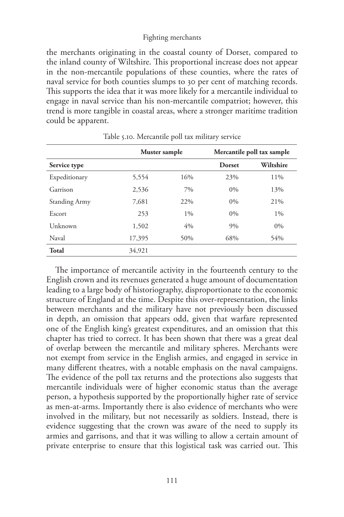the merchants originating in the coastal county of Dorset, compared to the inland county of Wiltshire. This proportional increase does not appear in the non‑mercantile populations of these counties, where the rates of naval service for both counties slumps to 30 per cent of matching records. his supports the idea that it was more likely for a mercantile individual to engage in naval service than his non‑mercantile compatriot; however, this trend is more tangible in coastal areas, where a stronger maritime tradition could be apparent.

|                      | Muster sample |             | Mercantile poll tax sample |           |  |
|----------------------|---------------|-------------|----------------------------|-----------|--|
| Service type         |               |             |                            | Wiltshire |  |
| Expeditionary        | 5,554         | 16%         | 23%                        | 11%       |  |
| Garrison             | 2,536         | 7%<br>$0\%$ |                            | 13%       |  |
| <b>Standing Army</b> | 7,681         | 22%         | $0\%$                      | 21%       |  |
| Escort               | 253           | $1\%$       | $0\%$                      | $1\%$     |  |
| Unknown              | 1,502         | $4\%$       | 9%                         | 0%        |  |
| Naval                | 17,395        | 50%         | 68%                        | 54%       |  |
| Total                | 34,921        |             |                            |           |  |

Table 5.10. Mercantile poll tax military service

he importance of mercantile activity in the fourteenth century to the English crown and its revenues generated a huge amount of documentation leading to a large body of historiography, disproportionate to the economic structure of England at the time. Despite this over‑representation, the links between merchants and the military have not previously been discussed in depth, an omission that appears odd, given that warfare represented one of the English king's greatest expenditures, and an omission that this chapter has tried to correct. It has been shown that there was a great deal of overlap between the mercantile and military spheres. Merchants were not exempt from service in the English armies, and engaged in service in many diferent theatres, with a notable emphasis on the naval campaigns. The evidence of the poll tax returns and the protections also suggests that mercantile individuals were of higher economic status than the average person, a hypothesis supported by the proportionally higher rate of service as men‑at‑arms. Importantly there is also evidence of merchants who were involved in the military, but not necessarily as soldiers. Instead, there is evidence suggesting that the crown was aware of the need to supply its armies and garrisons, and that it was willing to allow a certain amount of private enterprise to ensure that this logistical task was carried out. This